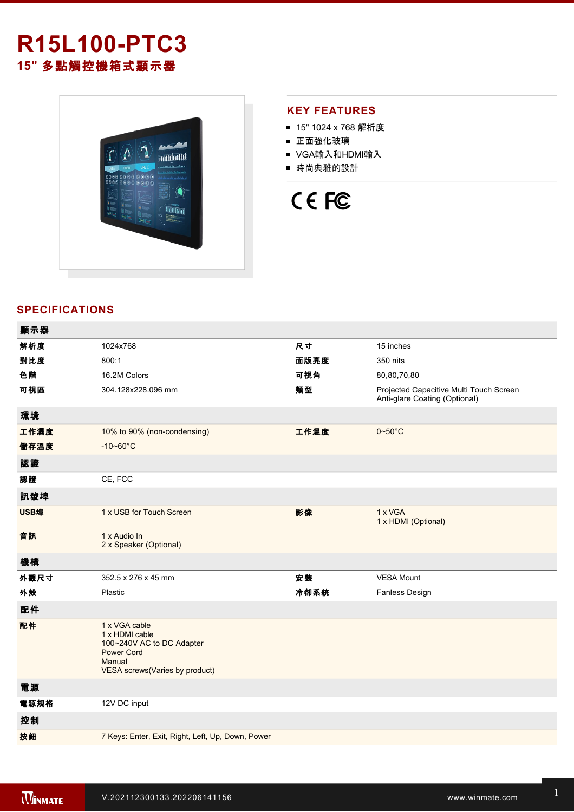## **R15L100-PTC3 15"** 多點觸控機箱式顯示器



## **KEY FEATURES**

- 15" 1024 x 768 解析度
- 正面強化玻璃
- VGA輸入和HDMI輸入
- 時尚典雅的設計



## **SPECIFICATIONS**

| 顯示器  |                                                                                                                               |      |                                                                          |
|------|-------------------------------------------------------------------------------------------------------------------------------|------|--------------------------------------------------------------------------|
| 解析度  | 1024x768                                                                                                                      | 尺寸   | 15 inches                                                                |
| 對比度  | 800:1                                                                                                                         | 面版亮度 | 350 nits                                                                 |
| 色階   | 16.2M Colors                                                                                                                  | 可視角  | 80,80,70,80                                                              |
| 可視區  | 304.128x228.096 mm                                                                                                            | 類型   | Projected Capacitive Multi Touch Screen<br>Anti-glare Coating (Optional) |
| 環境   |                                                                                                                               |      |                                                                          |
| 工作濕度 | 10% to 90% (non-condensing)                                                                                                   | 工作溫度 | $0 - 50$ °C                                                              |
| 儲存溫度 | $-10 - 60^{\circ}C$                                                                                                           |      |                                                                          |
| 認證   |                                                                                                                               |      |                                                                          |
| 認證   | CE, FCC                                                                                                                       |      |                                                                          |
| 訊號埠  |                                                                                                                               |      |                                                                          |
| USB埠 | 1 x USB for Touch Screen                                                                                                      | 影像   | 1 x VGA<br>1 x HDMI (Optional)                                           |
| 音訊   | 1 x Audio In<br>2 x Speaker (Optional)                                                                                        |      |                                                                          |
| 機構   |                                                                                                                               |      |                                                                          |
| 外觀尺寸 | 352.5 x 276 x 45 mm                                                                                                           | 安裝   | <b>VESA Mount</b>                                                        |
| 外殼   | Plastic                                                                                                                       | 冷卻系統 | Fanless Design                                                           |
| 配件   |                                                                                                                               |      |                                                                          |
| 配件   | 1 x VGA cable<br>1 x HDMI cable<br>100~240V AC to DC Adapter<br><b>Power Cord</b><br>Manual<br>VESA screws(Varies by product) |      |                                                                          |
| 電源   |                                                                                                                               |      |                                                                          |
| 電源規格 | 12V DC input                                                                                                                  |      |                                                                          |
| 控制   |                                                                                                                               |      |                                                                          |
| 按鈕   | 7 Keys: Enter, Exit, Right, Left, Up, Down, Power                                                                             |      |                                                                          |
|      |                                                                                                                               |      |                                                                          |